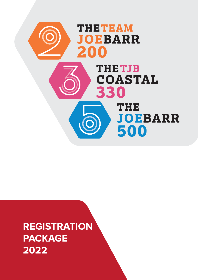

**REGISTRATION PACKAGE 2022**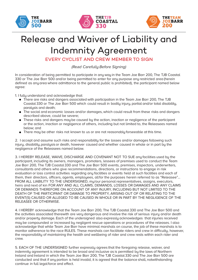





## Release and Waiver of Liability and Indemnity Agreement

EVERY CYCLIST AND CREW MEMBER TO SIGN

(Read Carefully Before Signing)

In consideration of being permitted to participate in any way in the Team Joe Barr 200, The TJB Coastal 330 or The Joe Barr 500 and/or being permitted to enter for any purpose any restricted area (herein defined as anyarea where admittance to the general public is prohibited), the participant named below agree:

1. I fully understand and acknowledge that:

- There are risks and dangers associated with participation in the Team Joe Barr 200, The TJB Coastal 330 or The Joe Barr 500 which could result in bodily injury, partial and/or total disability, paralusis and death:
- The social and economic losses and/or damages, which could result from these risks and dangers described above, could be severe;
- These risks and dangers maybe caused by the action, inaction or negligence of the participant or the action, inaction or negligence of others, including but not limited to, the Releasees named below; and
- There may be other risks not known to us or are not reasonably forseeable at this time.

2. I accept and assume such risks and responsibility for the losses and/or damages following such injury, disability,paralysis or death, however caused and whether caused in whole or in part by the negligence of the Releasees named below.

3. I HEREBY RELEASE, WAIVE, DISCHARGE AND COVENANT NOT TO SUE any facilities used by the participant, including its owners, managers, promoters, lessees of premises used to conduct the Team Joe Barr 200, The TJB Coastal 330 and The Joe Barr 500 events, premises, inspectors, underwriters, consultants and others who give recommendations, directions, or instructions to engage in risk evaluation or loss control activities regarding any facilities or events held at such facilities and each of them, their directors, officers, agents, employees, allfor the purposes herein referred to as "Releasee"… FROM ALL LIABILITY TO THE UNDERSIGNED, my/our personal representatives, assigns, executors, heirs and next of kin FOR ANY AND ALL CLAIMS, DEMANDS, LOSSES OR DAMAGES AND ANY CLAIMS OR DEMANDS THEREFORE ON ACCOUNT OF ANY INJURY, INCLUDING BUT NOT LIMITED TO THE DEATH OF THE PARTICIPANT OR DAMAGE TO PROPERTY, ARISING OUT OF OR RELATING TO THE EVENT(S) CAUSED OR ALLEGED TO BE CAUSED IN WHOLE OR IN PART BY THE NEGLIGENCE OF THE RELEASEE OR OTHERWISE.

4. I HEREBY acknowledge that the Team Joe Barr 200, The TJB Coastal 330 and The Joe Barr 500 and the activities associated therewith are very dangerous and involve the risk of serious injury and/or death and/or property damage. Each of the undersigned also expressly acknowledges that injuries received may be compounded or increased by negligent rescue operations or procedures of the releases. I also acknowledge that while Team Joe Barr have minimal marshals on course, the job of these marshals is to monitor adherence to the race RULES. These marshals can facilitate riders and crew in difficulty, however, the responsibility of maintaining the health and wellbeing of rider and crew rests within each rider and crew.

5. EACH OF THE UNDERSIGNED further expressly agrees that the foregoing release, waiver, and indemnity agreement is intended to be broad and inclusive as is permitted by the laws of Northern Ireland and Ireland in which the Team Joe Barr 200, The TJB Coastal 330 and The Joe Barr 500 are conducted and that if any portion is held invalid, it is agreed that the balance shall, notwithstanding continue in full legalforce and effect.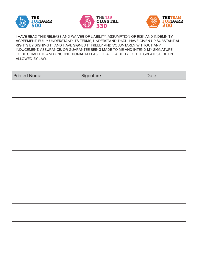





I HAVE READ THIS RELEASE AND WAIVER OF LIABILITY, ASSUMPTION OF RISK AND INDEMNITY AGREEMENT, FULLY UNDERSTAND ITS TERMS, UNDERSTAND THAT I HAVE GIVEN UP SUBSTANTIAL RIGHTS BY SIGNING IT, AND HAVE SIGNED IT FREELY AND VOLUNTARILY WITHOUT ANY INDUCEMENT, ASSURANCE, OR GUARANTEE BEING MADE TO ME AND INTEND MY SIGNATURE TO BE COMPLETE AND UNCONDITIONAL RELEASE OF ALL LAIBILITY TO THE GREATEST EXTENT ALLOWED BY LAW.

| <b>Printed Name</b> | Signature | Date |
|---------------------|-----------|------|
|                     |           |      |
|                     |           |      |
|                     |           |      |
|                     |           |      |
|                     |           |      |
|                     |           |      |
|                     |           |      |
|                     |           |      |
|                     |           |      |
|                     |           |      |
|                     |           |      |
|                     |           |      |
|                     |           |      |
|                     |           |      |
|                     |           |      |
|                     |           |      |
|                     |           |      |
|                     |           |      |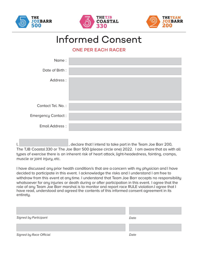





## Informed Consent

ONE PER EACH RACER

| Name:                     |  |
|---------------------------|--|
| Date of Birth:            |  |
| Address:                  |  |
| Contact Tel. No.:         |  |
| <b>Emergency Contact:</b> |  |
| Email Address:            |  |

I,  $\vert$ , declare that I intend to take part in the Team Joe Barr 200, The TJB Coastal 330 or The Joe Barr 500 (please circle one) 2022. I am aware that as with all types of exercise there is an inherent risk of heart attack, light-headedness, fainting, cramps, muscle or joint injury, etc.

I have discussed any prior health condition/s that are a concern with my physician and I have decided to participate in this event. I acknowledge the risks and I understand I am free to withdraw from this event at any time. I understand that Team Joe Barr accepts no responsibility whatsoever for any injuries or death during or after participation in this event. I agree that the role of any Team Joe Barr marshal is to monitor and report race RULE violation.I agree that I have read, understood and agreed the contents of this informed consent agreement in its entiretu.

| <b>Signed by Participant</b> | Date |
|------------------------------|------|
|                              |      |
| Signed by Race Official      | Date |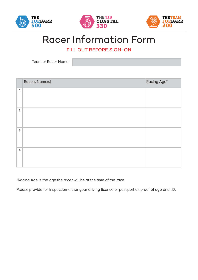





## Racer Information Form

FILL OUT BEFORE SIGN-ON

Team or Racer Name :

|                         | Racers Name(s) | Racing Age* |
|-------------------------|----------------|-------------|
| $\mathbf{1}$            |                |             |
| $\overline{2}$          |                |             |
| 3                       |                |             |
| $\overline{\mathbf{4}}$ |                |             |

\*Racing Age is the age the racer will be at the time of the race.

Please provide for inspection either your driving licence or passport as proof of age and I.D.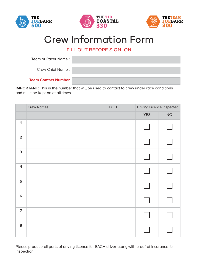





## Crew Information Form

#### FILL OUT BEFORE SIGN-ON

| Team or Racer Name:        |  |
|----------------------------|--|
| <b>Crew Chief Name:</b>    |  |
| <b>Team Contact Number</b> |  |

**IMPORTANT:** This is the number that will be used to contact to crew under race conditions and must be kept on at all times.

|                         | <b>Crew Names</b> | $\mathsf{D}.\mathsf{O}.\mathsf{B}$ | Driving Licence Inspected |      |  |
|-------------------------|-------------------|------------------------------------|---------------------------|------|--|
|                         |                   |                                    | <b>YES</b>                | $NO$ |  |
| $\mathbf 1$             |                   |                                    |                           |      |  |
| $\overline{\mathbf{2}}$ |                   |                                    |                           |      |  |
| 3                       |                   |                                    |                           |      |  |
| $\overline{\mathbf{4}}$ |                   |                                    |                           |      |  |
| 5                       |                   |                                    |                           |      |  |
| $6\phantom{1}6$         |                   |                                    |                           |      |  |
| $\overline{7}$          |                   |                                    |                           |      |  |
| 8                       |                   |                                    |                           |      |  |

Please produce all parts of driving licence for EACH driver along with proof of insurance for inspection.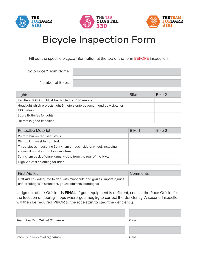





# Bicycle Inspection Form

Fill out the specific bicycle information at the top of the form BEFORE inspection.

Solo Racer/Team Name :

Number of Bikes :

| Lights                                                                                  | Bike 1 | Bike 2 |
|-----------------------------------------------------------------------------------------|--------|--------|
| Red Rear Tail Light. Must be visible from 150 meters                                    |        |        |
| Headlight which projects light 6 meters onto pavement and be visible for<br>100 meters. |        |        |
| Spare Batteries for lights                                                              |        |        |
| Helmet in good condition                                                                |        |        |

| Reflective Material                                                                                        | Bike 1 | Bike 2 |
|------------------------------------------------------------------------------------------------------------|--------|--------|
| 15cm x 1cm on rear seat stays                                                                              |        |        |
| 15cm x 1cm on side front fork                                                                              |        |        |
| Three pieces measuring 3cm x 1cm on each side of wheel, including<br>spares, if not standard box rim wheel |        |        |
| 3cm x 1cm back of crank arms, visible from the rear of the bike.                                           |        |        |
| High Viz vest / clothing for rider                                                                         |        |        |

| First Aid Kit                                                                | Comments |
|------------------------------------------------------------------------------|----------|
| First Aid Kit - adequate to deal with minor cuts and grazes, impact injuries |          |
| and breakages (disinfectant, gauze, plasters, bandages)                      |          |

Judgment of the Officials is **FINAL**. If your equipment is deficient, consult the Race Official for the location of nearby shops where you maytry to correct the deficiency. A second inspection will then be required **PRIOR** to the race start to clear the deficiency.

Team Joe Barr Official Signature data that the Date Date Racer or Crew Chief Signature **Date** Date Date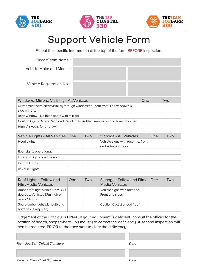





# Support Vehicle Form

Fill out the specific information at the top of the form BEFORE inspection.

| Racer/Team Name:                                                                                 |  |     |     |
|--------------------------------------------------------------------------------------------------|--|-----|-----|
| Vehicle Make and Model:                                                                          |  |     |     |
| Vehicle Registration No.:                                                                        |  |     |     |
| Windows, Mirrors, Visibility - All Vehicles                                                      |  | One | Two |
| Driver must have clear visibility through windscreen, both front side windows &<br>side mirrors. |  |     |     |
| Rear Window - No blind spots with mirrors                                                        |  |     |     |
| Caution Cyclist Ahead Sign and Rear Lights visible if rear racks and bikes attached              |  |     |     |
| High Viz Vests for all crew                                                                      |  |     |     |

| Vehicle Lights - All Vehicles   One | <b>Two</b> | Signage - All Vehicles                                   | One | Two |
|-------------------------------------|------------|----------------------------------------------------------|-----|-----|
| <b>Head Lights</b>                  |            | Vehicle signs with racer no. front<br>and sides and back |     |     |
| Rear Lights operational             |            |                                                          |     |     |
| Indicator Lights operational        |            |                                                          |     |     |
| Hazard Lights                       |            |                                                          |     |     |
| Reverse Lights                      |            |                                                          |     |     |

| Roof Lights - Follow and<br>Film/Media Vehicles | One | Two | Signage - Follow and Film/<br><b>Media Vehicles</b> | ∣One | Two |
|-------------------------------------------------|-----|-----|-----------------------------------------------------|------|-----|
| Amber roof light visible from 360               |     |     | Vehicle signs with racer no.                        |      |     |
| degrees. Vehicles 1.7m high or                  |     |     | Front and sides                                     |      |     |
| over - 1 lights                                 |     |     |                                                     |      |     |
| Spare amber light with bulb and                 |     |     | Caution Cyclist ahead (rear)                        |      |     |
| batteries (if required)                         |     |     |                                                     |      |     |

Judgement of the Officials is **FINAL**. If your equipment is deficient, consult the official for the location of nearby shops where you maytry to correct the deficiency. A second inspection will then be required **PRIOR** to the race start to clear the deficiency.

Team Joe Barr Official Signature data that the Date Date

Racer or Crew Chief Signature de and the Date of Date Date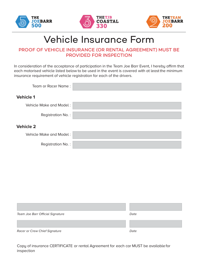





# Vehicle Insurance Form

#### PROOF OF VEHICLE INSURANCE (OR RENTAL AGREEMENT) MUST BE PROVIDED FOR INSPECTION

In consideration of the acceptance of participation in the Team Joe Barr Event, I hereby affirm that each motorised vehicle listed below to be used in the event is covered with at least the minimum insurance requirement of vehicle registration for each of the drivers.

| Team or Racer Name:     |  |
|-------------------------|--|
| <b>Vehicle 1</b>        |  |
| Vehicle Make and Model: |  |
| Registration No.:       |  |
| <b>Vehicle 2</b>        |  |
| Vehicle Make and Model: |  |
| Registration No.:       |  |

| Team Joe Barr Official Signature | Date |
|----------------------------------|------|
|                                  |      |
| Racer or Crew Chief Signature    | Date |

Copy of insurance CERTIFICATE or rental Agreement for each car MUST be availablefor inspection